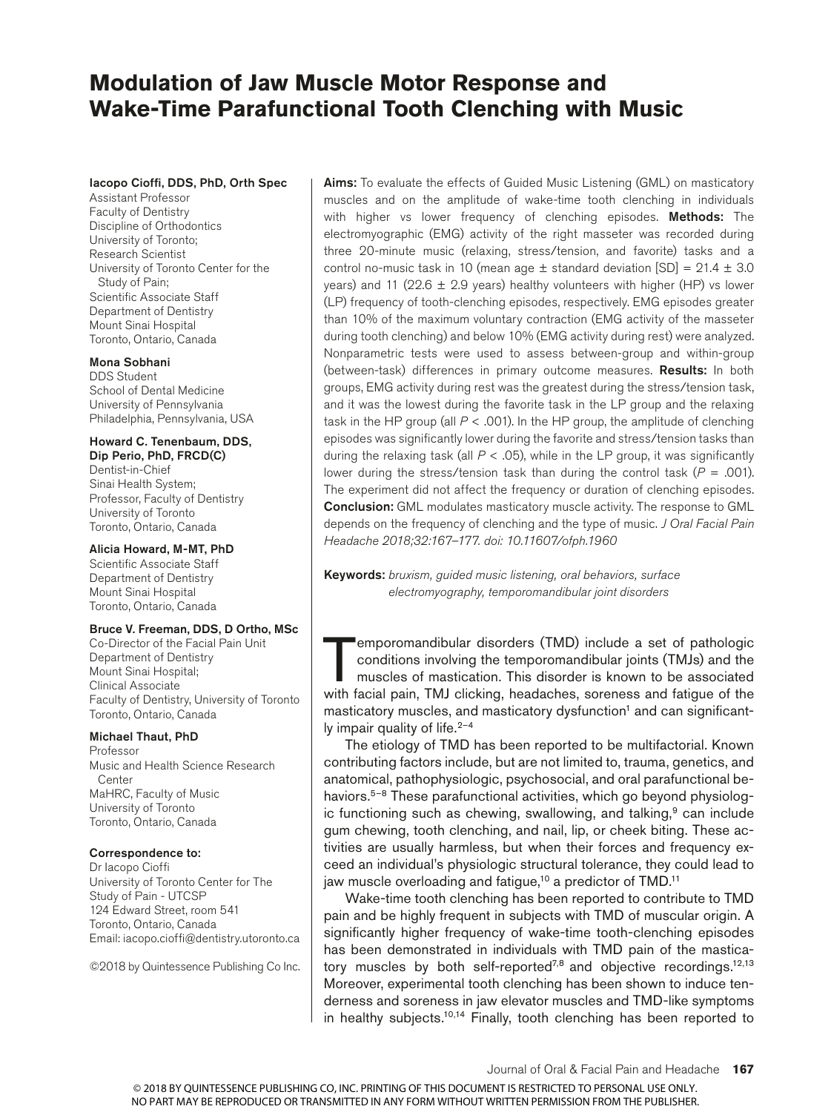# **Modulation of Jaw Muscle Motor Response and Wake-Time Parafunctional Tooth Clenching with Music**

#### Iacopo Cioffi, DDS, PhD, Orth Spec

Assistant Professor Faculty of Dentistry Discipline of Orthodontics University of Toronto; Research Scientist University of Toronto Center for the Study of Pain; Scientific Associate Staff Department of Dentistry Mount Sinai Hospital Toronto, Ontario, Canada

#### Mona Sobhani

DDS Student School of Dental Medicine University of Pennsylvania Philadelphia, Pennsylvania, USA

#### Howard C. Tenenbaum, DDS, Dip Perio, PhD, FRCD(C)

Dentist-in-Chief Sinai Health System; Professor, Faculty of Dentistry University of Toronto Toronto, Ontario, Canada

## Alicia Howard, M-MT, PhD

Scientific Associate Staff Department of Dentistry Mount Sinai Hospital Toronto, Ontario, Canada

#### Bruce V. Freeman, DDS, D Ortho, MSc

Co-Director of the Facial Pain Unit Department of Dentistry Mount Sinai Hospital; Clinical Associate Faculty of Dentistry, University of Toronto Toronto, Ontario, Canada

# Michael Thaut, PhD

Professor Music and Health Science Research Center MaHRC, Faculty of Music University of Toronto Toronto, Ontario, Canada

#### Correspondence to:

Dr Iacopo Cioffi University of Toronto Center for The Study of Pain - UTCSP 124 Edward Street, room 541 Toronto, Ontario, Canada Email: iacopo.cioffi@dentistry.utoronto.ca

©2018 by Quintessence Publishing Co Inc.

Aims: To evaluate the effects of Guided Music Listening (GML) on masticatory muscles and on the amplitude of wake-time tooth clenching in individuals with higher vs lower frequency of clenching episodes. Methods: The electromyographic (EMG) activity of the right masseter was recorded during three 20-minute music (relaxing, stress/tension, and favorite) tasks and a control no-music task in 10 (mean age  $\pm$  standard deviation [SD] = 21.4  $\pm$  3.0 years) and 11 (22.6  $\pm$  2.9 years) healthy volunteers with higher (HP) vs lower (LP) frequency of tooth-clenching episodes, respectively. EMG episodes greater than 10% of the maximum voluntary contraction (EMG activity of the masseter during tooth clenching) and below 10% (EMG activity during rest) were analyzed. Nonparametric tests were used to assess between-group and within-group (between-task) differences in primary outcome measures. Results: In both groups, EMG activity during rest was the greatest during the stress/tension task, and it was the lowest during the favorite task in the LP group and the relaxing task in the HP group (all  $P < .001$ ). In the HP group, the amplitude of clenching episodes was significantly lower during the favorite and stress/tension tasks than during the relaxing task (all *P* < .05), while in the LP group, it was significantly lower during the stress/tension task than during the control task  $(P = .001)$ . The experiment did not affect the frequency or duration of clenching episodes. **Conclusion:** GML modulates masticatory muscle activity. The response to GML depends on the frequency of clenching and the type of music. *J Oral Facial Pain Headache 2018;32:167–177. doi: 10.11607/ofph.1960*

Keywords: *bruxism, guided music listening, oral behaviors, surface electromyography, temporomandibular joint disorders*

emporomandibular disorders (TMD) include a set of pathologic conditions involving the temporomandibular joints (TMJs) and the muscles of mastication. This disorder is known to be associated with facial pain, TMJ clicking, emporomandibular disorders (TMD) include a set of pathologic conditions involving the temporomandibular joints (TMJs) and the muscles of mastication. This disorder is known to be associated masticatory muscles, and masticatory dysfunction<sup>1</sup> and can significantly impair quality of life.<sup>2-4</sup>

The etiology of TMD has been reported to be multifactorial. Known contributing factors include, but are not limited to, trauma, genetics, and anatomical, pathophysiologic, psychosocial, and oral parafunctional behaviors.<sup>5–8</sup> These parafunctional activities, which go beyond physiologic functioning such as chewing, swallowing, and talking, $9$  can include gum chewing, tooth clenching, and nail, lip, or cheek biting. These activities are usually harmless, but when their forces and frequency exceed an individual's physiologic structural tolerance, they could lead to jaw muscle overloading and fatigue,<sup>10</sup> a predictor of TMD.<sup>11</sup>

Wake-time tooth clenching has been reported to contribute to TMD pain and be highly frequent in subjects with TMD of muscular origin. A significantly higher frequency of wake-time tooth-clenching episodes has been demonstrated in individuals with TMD pain of the masticatory muscles by both self-reported<sup>7,8</sup> and objective recordings.<sup>12,13</sup> Moreover, experimental tooth clenching has been shown to induce tenderness and soreness in jaw elevator muscles and TMD-like symptoms in healthy subjects.10,14 Finally, tooth clenching has been reported to

Journal of Oral & Facial Pain and Headache **167**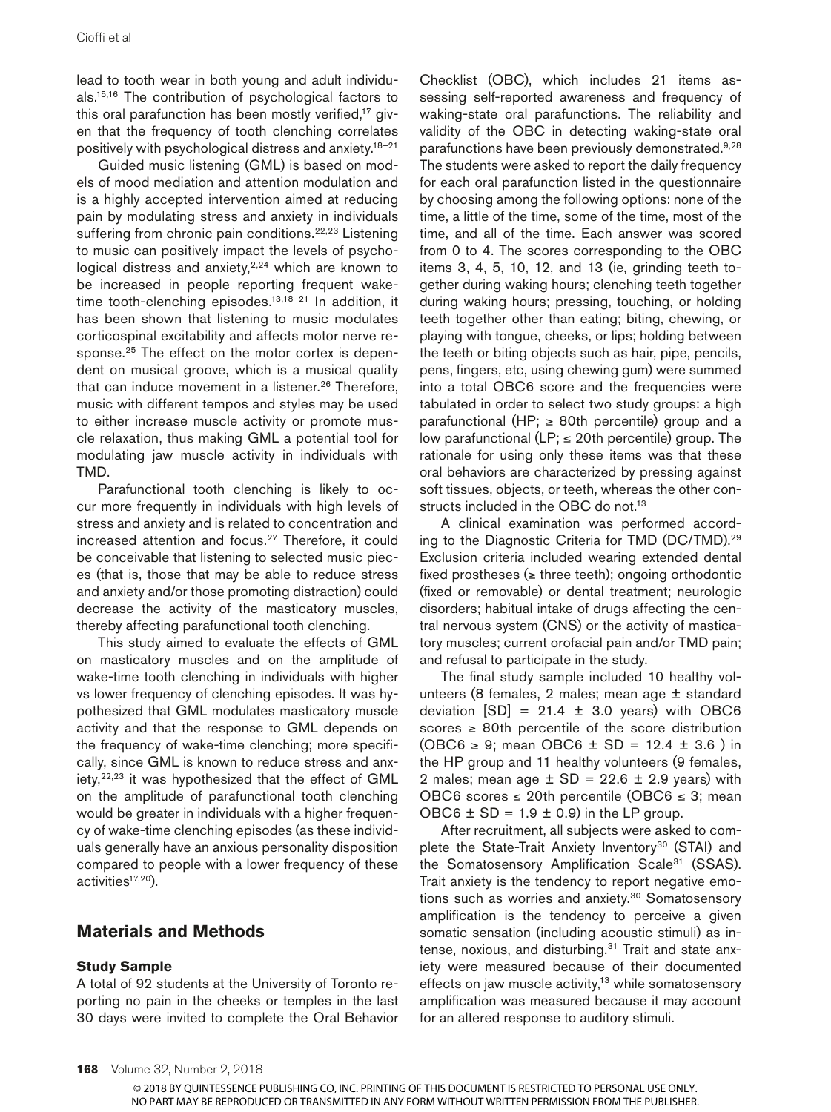lead to tooth wear in both young and adult individuals.15,16 The contribution of psychological factors to this oral parafunction has been mostly verified,<sup>17</sup> given that the frequency of tooth clenching correlates positively with psychological distress and anxiety.18–21

Guided music listening (GML) is based on models of mood mediation and attention modulation and is a highly accepted intervention aimed at reducing pain by modulating stress and anxiety in individuals suffering from chronic pain conditions.<sup>22,23</sup> Listening to music can positively impact the levels of psychological distress and anxiety, $2,24$  which are known to be increased in people reporting frequent waketime tooth-clenching episodes.<sup>13,18-21</sup> In addition, it has been shown that listening to music modulates corticospinal excitability and affects motor nerve response.<sup>25</sup> The effect on the motor cortex is dependent on musical groove, which is a musical quality that can induce movement in a listener.<sup>26</sup> Therefore, music with different tempos and styles may be used to either increase muscle activity or promote muscle relaxation, thus making GML a potential tool for modulating jaw muscle activity in individuals with TMD.

Parafunctional tooth clenching is likely to occur more frequently in individuals with high levels of stress and anxiety and is related to concentration and increased attention and focus.<sup>27</sup> Therefore, it could be conceivable that listening to selected music pieces (that is, those that may be able to reduce stress and anxiety and/or those promoting distraction) could decrease the activity of the masticatory muscles, thereby affecting parafunctional tooth clenching.

This study aimed to evaluate the effects of GML on masticatory muscles and on the amplitude of wake-time tooth clenching in individuals with higher vs lower frequency of clenching episodes. It was hypothesized that GML modulates masticatory muscle activity and that the response to GML depends on the frequency of wake-time clenching; more specifically, since GML is known to reduce stress and anxiety, $22,23$  it was hypothesized that the effect of GML on the amplitude of parafunctional tooth clenching would be greater in individuals with a higher frequency of wake-time clenching episodes (as these individuals generally have an anxious personality disposition compared to people with a lower frequency of these activities<sup>17,20</sup>).

## **Materials and Methods**

#### **Study Sample**

A total of 92 students at the University of Toronto reporting no pain in the cheeks or temples in the last 30 days were invited to complete the Oral Behavior Checklist (OBC), which includes 21 items assessing self-reported awareness and frequency of waking-state oral parafunctions. The reliability and validity of the OBC in detecting waking-state oral parafunctions have been previously demonstrated.<sup>9,28</sup> The students were asked to report the daily frequency for each oral parafunction listed in the questionnaire by choosing among the following options: none of the time, a little of the time, some of the time, most of the time, and all of the time. Each answer was scored from 0 to 4. The scores corresponding to the OBC items 3, 4, 5, 10, 12, and 13 (ie, grinding teeth together during waking hours; clenching teeth together during waking hours; pressing, touching, or holding teeth together other than eating; biting, chewing, or playing with tongue, cheeks, or lips; holding between the teeth or biting objects such as hair, pipe, pencils, pens, fingers, etc, using chewing gum) were summed into a total OBC6 score and the frequencies were tabulated in order to select two study groups: a high parafunctional (HP;  $\geq$  80th percentile) group and a low parafunctional (LP;  $\leq$  20th percentile) group. The rationale for using only these items was that these oral behaviors are characterized by pressing against soft tissues, objects, or teeth, whereas the other constructs included in the OBC do not.<sup>13</sup>

A clinical examination was performed according to the Diagnostic Criteria for TMD (DC/TMD).29 Exclusion criteria included wearing extended dental fixed prostheses (≥ three teeth); ongoing orthodontic (fixed or removable) or dental treatment; neurologic disorders; habitual intake of drugs affecting the central nervous system (CNS) or the activity of masticatory muscles; current orofacial pain and/or TMD pain; and refusal to participate in the study.

The final study sample included 10 healthy volunteers (8 females, 2 males; mean age ± standard deviation  $[SD] = 21.4 \pm 3.0$  years) with OBC6 scores  $\geq$  80th percentile of the score distribution (OBC6 ≥ 9; mean OBC6  $±$  SD = 12.4  $±$  3.6 ) in the HP group and 11 healthy volunteers (9 females, 2 males; mean age  $\pm$  SD = 22.6  $\pm$  2.9 years) with OBC6 scores ≤ 20th percentile (OBC6 ≤ 3; mean OBC6  $\pm$  SD = 1.9  $\pm$  0.9) in the LP group.

After recruitment, all subjects were asked to complete the State-Trait Anxiety Inventory<sup>30</sup> (STAI) and the Somatosensory Amplification Scale<sup>31</sup> (SSAS). Trait anxiety is the tendency to report negative emotions such as worries and anxiety.<sup>30</sup> Somatosensory amplification is the tendency to perceive a given somatic sensation (including acoustic stimuli) as intense, noxious, and disturbing.<sup>31</sup> Trait and state anxiety were measured because of their documented effects on jaw muscle activity,<sup>13</sup> while somatosensory amplification was measured because it may account for an altered response to auditory stimuli.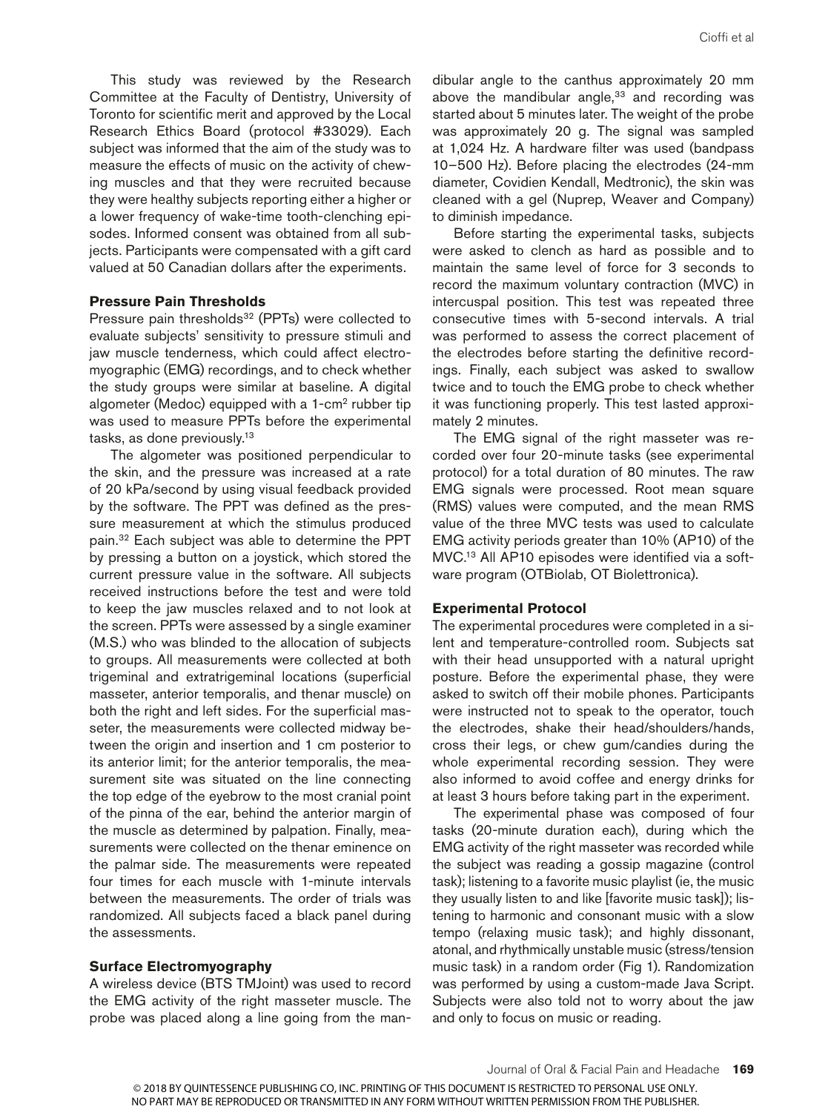This study was reviewed by the Research Committee at the Faculty of Dentistry, University of Toronto for scientific merit and approved by the Local Research Ethics Board (protocol #33029). Each subject was informed that the aim of the study was to measure the effects of music on the activity of chewing muscles and that they were recruited because they were healthy subjects reporting either a higher or a lower frequency of wake-time tooth-clenching episodes. Informed consent was obtained from all subjects. Participants were compensated with a gift card valued at 50 Canadian dollars after the experiments.

#### **Pressure Pain Thresholds**

Pressure pain thresholds<sup>32</sup> (PPTs) were collected to evaluate subjects' sensitivity to pressure stimuli and jaw muscle tenderness, which could affect electromyographic (EMG) recordings, and to check whether the study groups were similar at baseline. A digital algometer (Medoc) equipped with a 1-cm<sup>2</sup> rubber tip was used to measure PPTs before the experimental tasks, as done previously.13

The algometer was positioned perpendicular to the skin, and the pressure was increased at a rate of 20 kPa/second by using visual feedback provided by the software. The PPT was defined as the pressure measurement at which the stimulus produced pain.32 Each subject was able to determine the PPT by pressing a button on a joystick, which stored the current pressure value in the software. All subjects received instructions before the test and were told to keep the jaw muscles relaxed and to not look at the screen. PPTs were assessed by a single examiner (M.S.) who was blinded to the allocation of subjects to groups. All measurements were collected at both trigeminal and extratrigeminal locations (superficial masseter, anterior temporalis, and thenar muscle) on both the right and left sides. For the superficial masseter, the measurements were collected midway between the origin and insertion and 1 cm posterior to its anterior limit; for the anterior temporalis, the measurement site was situated on the line connecting the top edge of the eyebrow to the most cranial point of the pinna of the ear, behind the anterior margin of the muscle as determined by palpation. Finally, measurements were collected on the thenar eminence on the palmar side. The measurements were repeated four times for each muscle with 1-minute intervals between the measurements. The order of trials was randomized. All subjects faced a black panel during the assessments.

#### **Surface Electromyography**

A wireless device (BTS TMJoint) was used to record the EMG activity of the right masseter muscle. The probe was placed along a line going from the mandibular angle to the canthus approximately 20 mm above the mandibular angle, $33$  and recording was started about 5 minutes later. The weight of the probe was approximately 20 g. The signal was sampled at 1,024 Hz. A hardware filter was used (bandpass 10–500 Hz). Before placing the electrodes (24-mm diameter, Covidien Kendall, Medtronic), the skin was cleaned with a gel (Nuprep, Weaver and Company) to diminish impedance.

Before starting the experimental tasks, subjects were asked to clench as hard as possible and to maintain the same level of force for 3 seconds to record the maximum voluntary contraction (MVC) in intercuspal position. This test was repeated three consecutive times with 5-second intervals. A trial was performed to assess the correct placement of the electrodes before starting the definitive recordings. Finally, each subject was asked to swallow twice and to touch the EMG probe to check whether it was functioning properly. This test lasted approximately 2 minutes.

The EMG signal of the right masseter was recorded over four 20-minute tasks (see experimental protocol) for a total duration of 80 minutes. The raw EMG signals were processed. Root mean square (RMS) values were computed, and the mean RMS value of the three MVC tests was used to calculate EMG activity periods greater than 10% (AP10) of the MVC.13 All AP10 episodes were identified via a software program (OTBiolab, OT Biolettronica).

#### **Experimental Protocol**

The experimental procedures were completed in a silent and temperature-controlled room. Subjects sat with their head unsupported with a natural upright posture. Before the experimental phase, they were asked to switch off their mobile phones. Participants were instructed not to speak to the operator, touch the electrodes, shake their head/shoulders/hands, cross their legs, or chew gum/candies during the whole experimental recording session. They were also informed to avoid coffee and energy drinks for at least 3 hours before taking part in the experiment.

The experimental phase was composed of four tasks (20-minute duration each), during which the EMG activity of the right masseter was recorded while the subject was reading a gossip magazine (control task); listening to a favorite music playlist (ie, the music they usually listen to and like [favorite music task]); listening to harmonic and consonant music with a slow tempo (relaxing music task); and highly dissonant, atonal, and rhythmically unstable music (stress/tension music task) in a random order (Fig 1). Randomization was performed by using a custom-made Java Script. Subjects were also told not to worry about the jaw and only to focus on music or reading.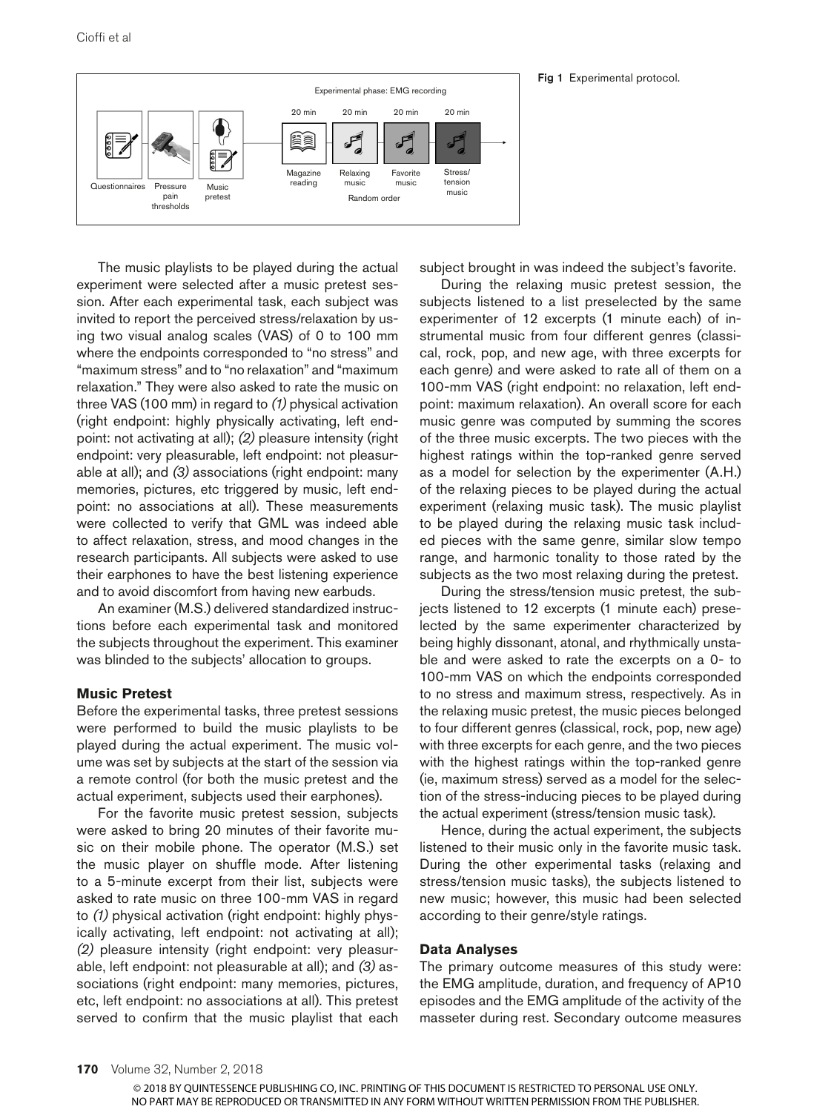

The music playlists to be played during the actual experiment were selected after a music pretest session. After each experimental task, each subject was invited to report the perceived stress/relaxation by using two visual analog scales (VAS) of 0 to 100 mm where the endpoints corresponded to "no stress" and "maximum stress" and to "no relaxation" and "maximum relaxation." They were also asked to rate the music on three VAS (100 mm) in regard to *(1)* physical activation (right endpoint: highly physically activating, left endpoint: not activating at all); *(2)* pleasure intensity (right endpoint: very pleasurable, left endpoint: not pleasurable at all); and *(3)* associations (right endpoint: many memories, pictures, etc triggered by music, left endpoint: no associations at all). These measurements were collected to verify that GML was indeed able to affect relaxation, stress, and mood changes in the research participants. All subjects were asked to use their earphones to have the best listening experience and to avoid discomfort from having new earbuds.

An examiner (M.S.) delivered standardized instructions before each experimental task and monitored the subjects throughout the experiment. This examiner was blinded to the subjects' allocation to groups.

#### **Music Pretest**

Before the experimental tasks, three pretest sessions were performed to build the music playlists to be played during the actual experiment. The music volume was set by subjects at the start of the session via a remote control (for both the music pretest and the actual experiment, subjects used their earphones).

For the favorite music pretest session, subjects were asked to bring 20 minutes of their favorite music on their mobile phone. The operator (M.S.) set the music player on shuffle mode. After listening to a 5-minute excerpt from their list, subjects were asked to rate music on three 100-mm VAS in regard to *(1)* physical activation (right endpoint: highly physically activating, left endpoint: not activating at all); *(2)* pleasure intensity (right endpoint: very pleasurable, left endpoint: not pleasurable at all); and *(3)* associations (right endpoint: many memories, pictures, etc, left endpoint: no associations at all). This pretest served to confirm that the music playlist that each subject brought in was indeed the subject's favorite.

During the relaxing music pretest session, the subjects listened to a list preselected by the same experimenter of 12 excerpts (1 minute each) of instrumental music from four different genres (classical, rock, pop, and new age, with three excerpts for each genre) and were asked to rate all of them on a 100-mm VAS (right endpoint: no relaxation, left endpoint: maximum relaxation). An overall score for each music genre was computed by summing the scores of the three music excerpts. The two pieces with the highest ratings within the top-ranked genre served as a model for selection by the experimenter (A.H.) of the relaxing pieces to be played during the actual experiment (relaxing music task). The music playlist to be played during the relaxing music task included pieces with the same genre, similar slow tempo range, and harmonic tonality to those rated by the subjects as the two most relaxing during the pretest.

During the stress/tension music pretest, the subjects listened to 12 excerpts (1 minute each) preselected by the same experimenter characterized by being highly dissonant, atonal, and rhythmically unstable and were asked to rate the excerpts on a 0- to 100-mm VAS on which the endpoints corresponded to no stress and maximum stress, respectively. As in the relaxing music pretest, the music pieces belonged to four different genres (classical, rock, pop, new age) with three excerpts for each genre, and the two pieces with the highest ratings within the top-ranked genre (ie, maximum stress) served as a model for the selection of the stress-inducing pieces to be played during the actual experiment (stress/tension music task).

Hence, during the actual experiment, the subjects listened to their music only in the favorite music task. During the other experimental tasks (relaxing and stress/tension music tasks), the subjects listened to new music; however, this music had been selected according to their genre/style ratings.

#### **Data Analyses**

The primary outcome measures of this study were: the EMG amplitude, duration, and frequency of AP10 episodes and the EMG amplitude of the activity of the masseter during rest. Secondary outcome measures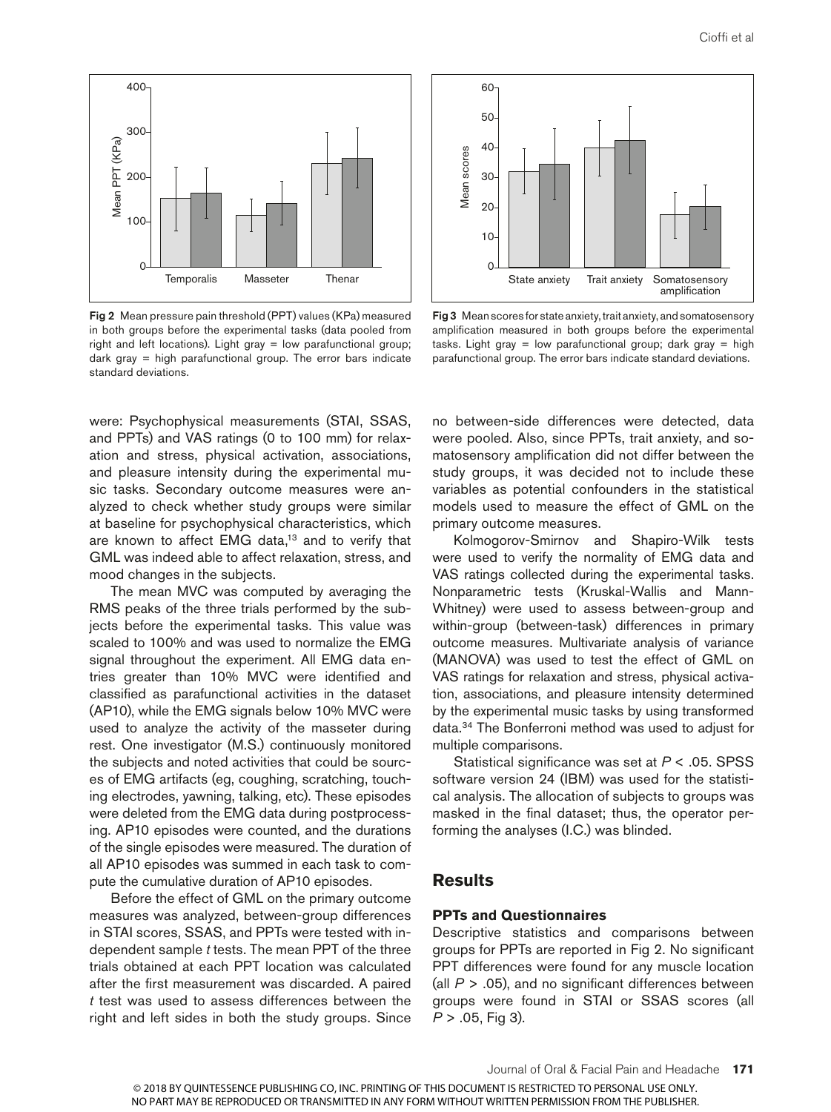

Fig 2 Mean pressure pain threshold (PPT) values (KPa) measured in both groups before the experimental tasks (data pooled from right and left locations). Light gray = low parafunctional group; dark gray = high parafunctional group. The error bars indicate standard deviations.

were: Psychophysical measurements (STAI, SSAS, and PPTs) and VAS ratings (0 to 100 mm) for relaxation and stress, physical activation, associations, and pleasure intensity during the experimental music tasks. Secondary outcome measures were analyzed to check whether study groups were similar at baseline for psychophysical characteristics, which are known to affect EMG data,<sup>13</sup> and to verify that GML was indeed able to affect relaxation, stress, and mood changes in the subjects.

The mean MVC was computed by averaging the RMS peaks of the three trials performed by the subjects before the experimental tasks. This value was scaled to 100% and was used to normalize the EMG signal throughout the experiment. All EMG data entries greater than 10% MVC were identified and classified as parafunctional activities in the dataset (AP10), while the EMG signals below 10% MVC were used to analyze the activity of the masseter during rest. One investigator (M.S.) continuously monitored the subjects and noted activities that could be sources of EMG artifacts (eg, coughing, scratching, touching electrodes, yawning, talking, etc). These episodes were deleted from the EMG data during postprocessing. AP10 episodes were counted, and the durations of the single episodes were measured. The duration of all AP10 episodes was summed in each task to compute the cumulative duration of AP10 episodes.

Before the effect of GML on the primary outcome measures was analyzed, between-group differences in STAI scores, SSAS, and PPTs were tested with independent sample *t* tests. The mean PPT of the three trials obtained at each PPT location was calculated after the first measurement was discarded. A paired *t* test was used to assess differences between the right and left sides in both the study groups. Since



Fig 3 Mean scores for state anxiety, trait anxiety, and somatosensory amplification measured in both groups before the experimental tasks. Light gray = low parafunctional group; dark gray = high parafunctional group. The error bars indicate standard deviations.

no between-side differences were detected, data were pooled. Also, since PPTs, trait anxiety, and somatosensory amplification did not differ between the study groups, it was decided not to include these variables as potential confounders in the statistical models used to measure the effect of GML on the primary outcome measures.

Kolmogorov-Smirnov and Shapiro-Wilk tests were used to verify the normality of EMG data and VAS ratings collected during the experimental tasks. Nonparametric tests (Kruskal-Wallis and Mann-Whitney) were used to assess between-group and within-group (between-task) differences in primary outcome measures. Multivariate analysis of variance (MANOVA) was used to test the effect of GML on VAS ratings for relaxation and stress, physical activation, associations, and pleasure intensity determined by the experimental music tasks by using transformed data.34 The Bonferroni method was used to adjust for multiple comparisons.

Statistical significance was set at *P* < .05. SPSS software version 24 (IBM) was used for the statistical analysis. The allocation of subjects to groups was masked in the final dataset; thus, the operator performing the analyses (I.C.) was blinded.

## **Results**

#### **PPTs and Questionnaires**

Descriptive statistics and comparisons between groups for PPTs are reported in Fig 2. No significant PPT differences were found for any muscle location (all *P* > .05), and no significant differences between groups were found in STAI or SSAS scores (all *P* > .05, Fig 3).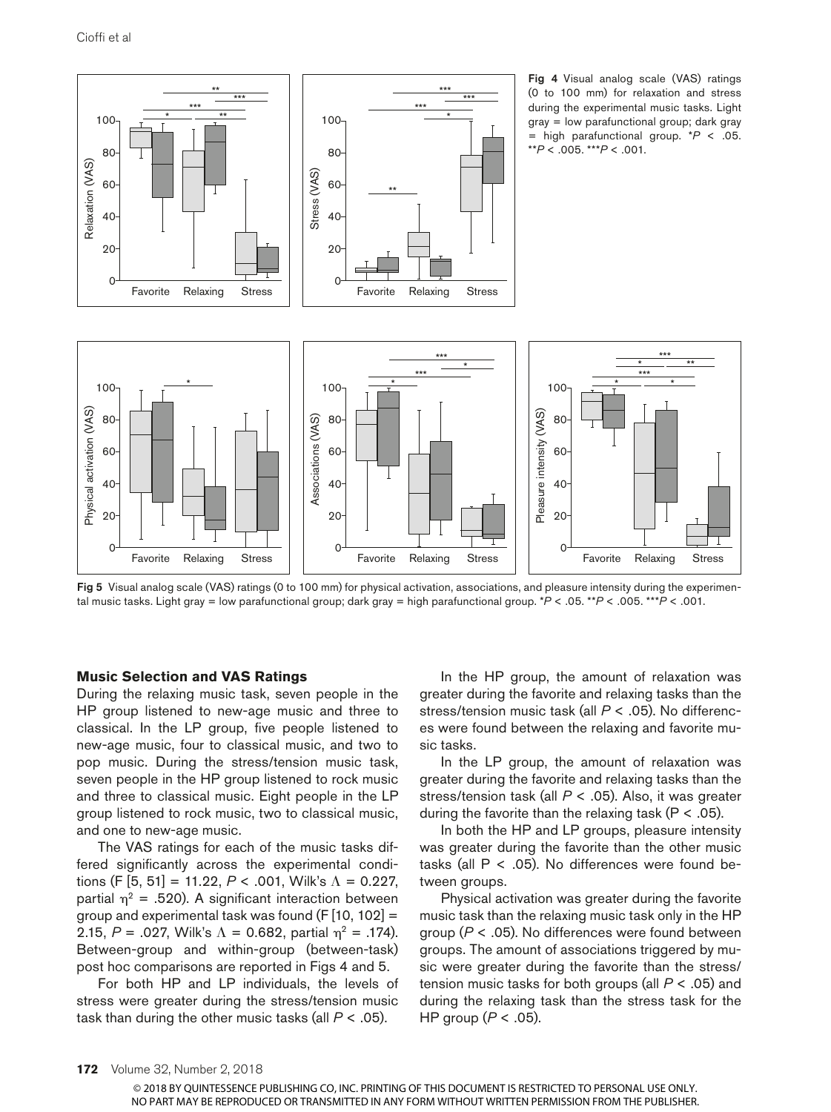

Fig 5 Visual analog scale (VAS) ratings (0 to 100 mm) for physical activation, associations, and pleasure intensity during the experimental music tasks. Light gray = low parafunctional group; dark gray = high parafunctional group. \**P* < .05. \*\**P* < .005. \*\*\**P* < .001.

#### **Music Selection and VAS Ratings**

During the relaxing music task, seven people in the HP group listened to new-age music and three to classical. In the LP group, five people listened to new-age music, four to classical music, and two to pop music. During the stress/tension music task, seven people in the HP group listened to rock music and three to classical music. Eight people in the LP group listened to rock music, two to classical music, and one to new-age music.

The VAS ratings for each of the music tasks differed significantly across the experimental conditions (F [5, 51] = 11.22,  $P < .001$ , Wilk's  $\Lambda = 0.227$ , partial  $\eta^2$  = .520). A significant interaction between group and experimental task was found  $(F [10, 102] =$ 2.15, *P* = .027, Wilk's  $\Lambda$  = 0.682, partial  $\eta^2$  = .174). Between-group and within-group (between-task) post hoc comparisons are reported in Figs 4 and 5.

For both HP and LP individuals, the levels of stress were greater during the stress/tension music task than during the other music tasks (all *P* < .05).

In the HP group, the amount of relaxation was greater during the favorite and relaxing tasks than the stress/tension music task (all *P* < .05). No differences were found between the relaxing and favorite music tasks.

In the LP group, the amount of relaxation was greater during the favorite and relaxing tasks than the stress/tension task (all *P* < .05). Also, it was greater during the favorite than the relaxing task ( $P < .05$ ).

In both the HP and LP groups, pleasure intensity was greater during the favorite than the other music tasks (all P < .05). No differences were found between groups.

Physical activation was greater during the favorite music task than the relaxing music task only in the HP group (*P* < .05). No differences were found between groups. The amount of associations triggered by music were greater during the favorite than the stress/ tension music tasks for both groups (all *P* < .05) and during the relaxing task than the stress task for the HP group (*P* < .05).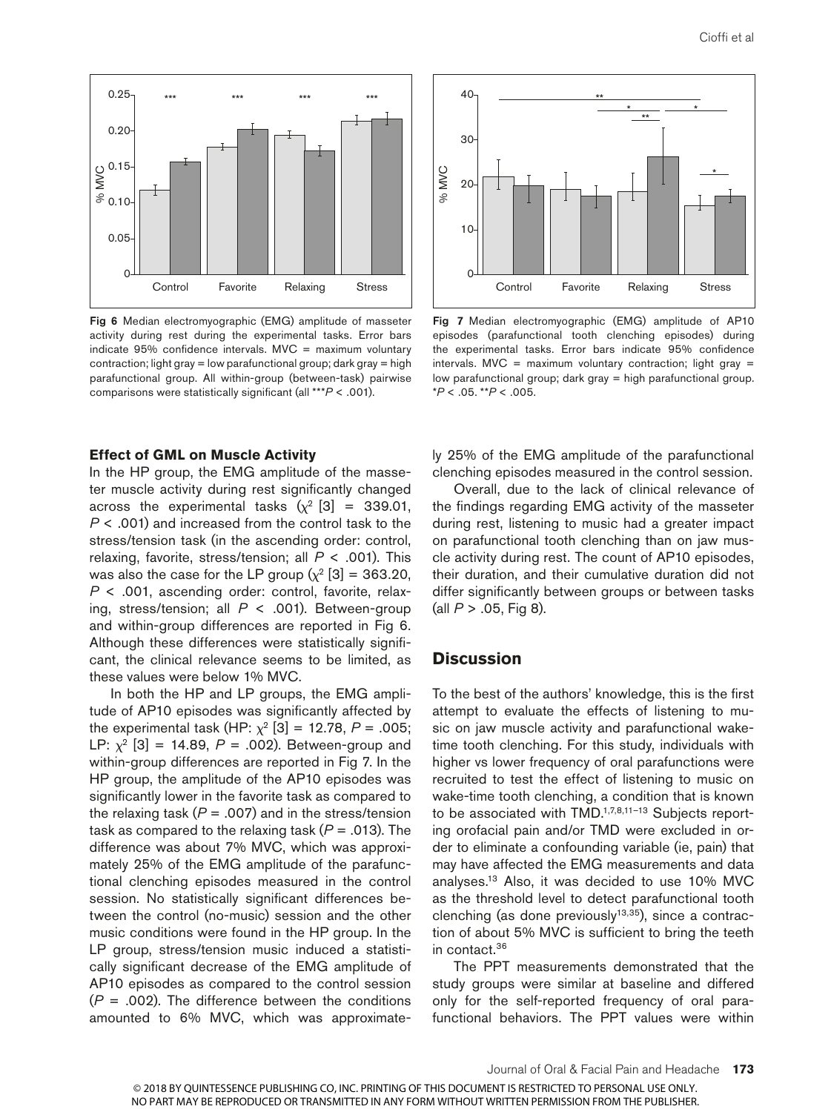

Fig 6 Median electromyographic (EMG) amplitude of masseter activity during rest during the experimental tasks. Error bars indicate 95% confidence intervals. MVC = maximum voluntary contraction; light gray = low parafunctional group; dark gray = high parafunctional group. All within-group (between-task) pairwise comparisons were statistically significant (all \*\*\**P* < .001).

#### **Effect of GML on Muscle Activity**

In the HP group, the EMG amplitude of the masseter muscle activity during rest significantly changed across the experimental tasks  $(\chi^2$  [3] = 339.01, *P* < .001) and increased from the control task to the stress/tension task (in the ascending order: control, relaxing, favorite, stress/tension; all *P* < .001). This was also the case for the LP group  $(\chi^2 [3] = 363.20,$ *P* < .001, ascending order: control, favorite, relaxing, stress/tension; all *P* < .001). Between-group and within-group differences are reported in Fig 6. Although these differences were statistically significant, the clinical relevance seems to be limited, as these values were below 1% MVC.

In both the HP and LP groups, the EMG amplitude of AP10 episodes was significantly affected by the experimental task (HP:  $\chi^2$  [3] = 12.78, P = .005; LP:  $\chi^2$  [3] = 14.89, P = .002). Between-group and within-group differences are reported in Fig 7. In the HP group, the amplitude of the AP10 episodes was significantly lower in the favorite task as compared to the relaxing task  $(P = .007)$  and in the stress/tension task as compared to the relaxing task (*P* = .013). The difference was about 7% MVC, which was approximately 25% of the EMG amplitude of the parafunctional clenching episodes measured in the control session. No statistically significant differences between the control (no-music) session and the other music conditions were found in the HP group. In the LP group, stress/tension music induced a statistically significant decrease of the EMG amplitude of AP10 episodes as compared to the control session  $(P = .002)$ . The difference between the conditions amounted to 6% MVC, which was approximate-



Fig 7 Median electromyographic (EMG) amplitude of AP10 episodes (parafunctional tooth clenching episodes) during the experimental tasks. Error bars indicate 95% confidence intervals. MVC = maximum voluntary contraction; light gray = low parafunctional group; dark gray = high parafunctional group. \**P* < .05. \*\**P* < .005.

ly 25% of the EMG amplitude of the parafunctional clenching episodes measured in the control session.

Overall, due to the lack of clinical relevance of the findings regarding EMG activity of the masseter during rest, listening to music had a greater impact on parafunctional tooth clenching than on jaw muscle activity during rest. The count of AP10 episodes, their duration, and their cumulative duration did not differ significantly between groups or between tasks (all *P* > .05, Fig 8).

### **Discussion**

To the best of the authors' knowledge, this is the first attempt to evaluate the effects of listening to music on jaw muscle activity and parafunctional waketime tooth clenching. For this study, individuals with higher vs lower frequency of oral parafunctions were recruited to test the effect of listening to music on wake-time tooth clenching, a condition that is known to be associated with TMD.<sup>1,7,8,11-13</sup> Subjects reporting orofacial pain and/or TMD were excluded in order to eliminate a confounding variable (ie, pain) that may have affected the EMG measurements and data analyses.13 Also, it was decided to use 10% MVC as the threshold level to detect parafunctional tooth clenching (as done previously $13,35$ ), since a contraction of about 5% MVC is sufficient to bring the teeth in contact.36

The PPT measurements demonstrated that the study groups were similar at baseline and differed only for the self-reported frequency of oral parafunctional behaviors. The PPT values were within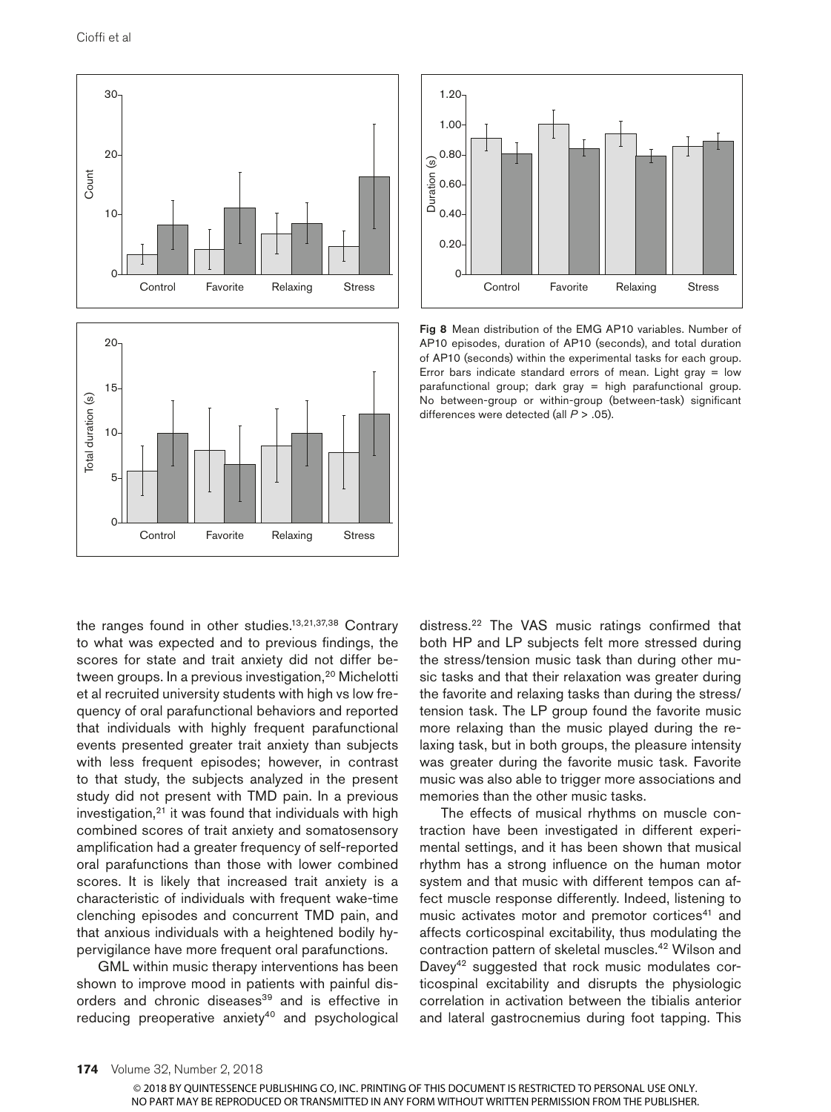



Fig 8 Mean distribution of the EMG AP10 variables. Number of AP10 episodes, duration of AP10 (seconds), and total duration of AP10 (seconds) within the experimental tasks for each group. Error bars indicate standard errors of mean. Light gray = low parafunctional group; dark gray = high parafunctional group. No between-group or within-group (between-task) significant differences were detected (all *P* > .05).

the ranges found in other studies.<sup>13,21,37,38</sup> Contrary to what was expected and to previous findings, the scores for state and trait anxiety did not differ between groups. In a previous investigation,<sup>20</sup> Michelotti et al recruited university students with high vs low frequency of oral parafunctional behaviors and reported that individuals with highly frequent parafunctional events presented greater trait anxiety than subjects with less frequent episodes; however, in contrast to that study, the subjects analyzed in the present study did not present with TMD pain. In a previous investigation, $21$  it was found that individuals with high combined scores of trait anxiety and somatosensory amplification had a greater frequency of self-reported oral parafunctions than those with lower combined scores. It is likely that increased trait anxiety is a characteristic of individuals with frequent wake-time clenching episodes and concurrent TMD pain, and that anxious individuals with a heightened bodily hypervigilance have more frequent oral parafunctions.

GML within music therapy interventions has been shown to improve mood in patients with painful disorders and chronic diseases<sup>39</sup> and is effective in reducing preoperative anxiety<sup>40</sup> and psychological distress.22 The VAS music ratings confirmed that both HP and LP subjects felt more stressed during the stress/tension music task than during other music tasks and that their relaxation was greater during the favorite and relaxing tasks than during the stress/ tension task. The LP group found the favorite music more relaxing than the music played during the relaxing task, but in both groups, the pleasure intensity was greater during the favorite music task. Favorite music was also able to trigger more associations and memories than the other music tasks.

The effects of musical rhythms on muscle contraction have been investigated in different experimental settings, and it has been shown that musical rhythm has a strong influence on the human motor system and that music with different tempos can affect muscle response differently. Indeed, listening to music activates motor and premotor cortices<sup>41</sup> and affects corticospinal excitability, thus modulating the contraction pattern of skeletal muscles.42 Wilson and Davey<sup>42</sup> suggested that rock music modulates corticospinal excitability and disrupts the physiologic correlation in activation between the tibialis anterior and lateral gastrocnemius during foot tapping. This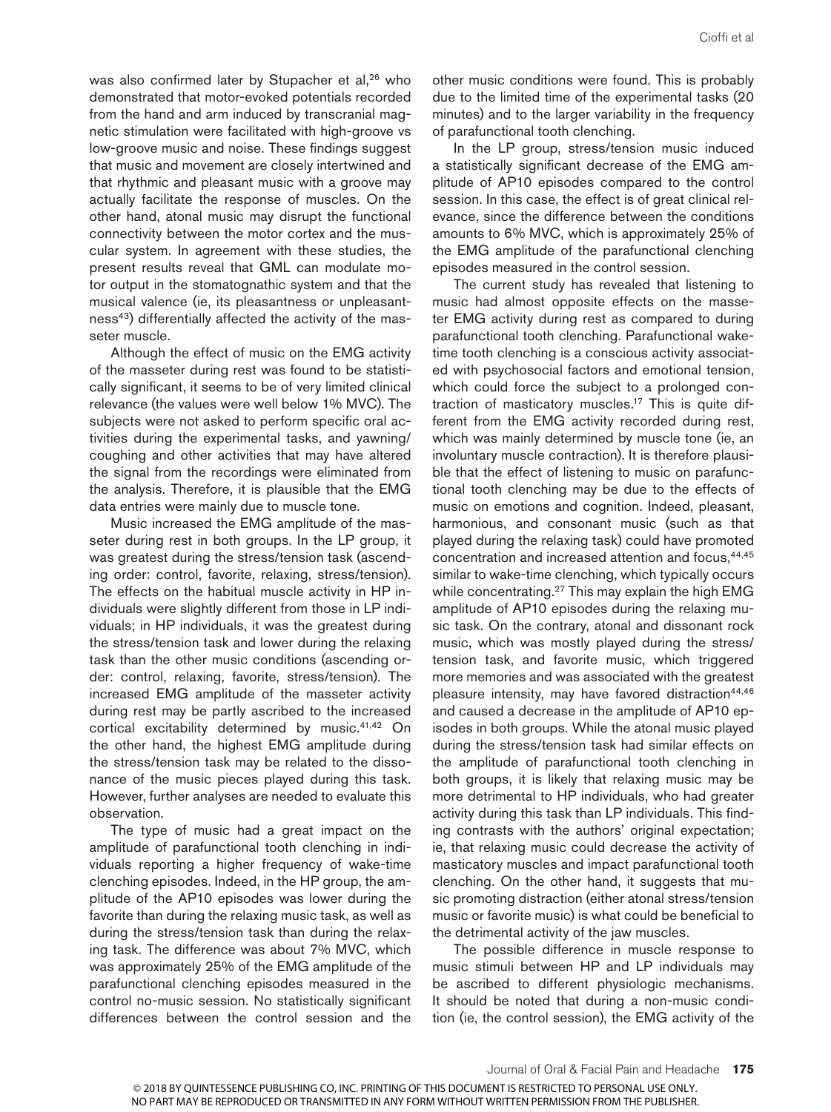was also confirmed later by Stupacher et al,<sup>26</sup> who demonstrated that motor-evoked potentials recorded from the hand and arm induced by transcranial magnetic stimulation were facilitated with high-groove vs low-groove music and noise. These findings suggest that music and movement are closely intertwined and that rhythmic and pleasant music with a groove may actually facilitate the response of muscles. On the other hand, atonal music may disrupt the functional connectivity between the motor cortex and the muscular system. In agreement with these studies, the present results reveal that GML can modulate motor output in the stomatognathic system and that the musical valence (ie, its pleasantness or unpleasantness<sup>43</sup>) differentially affected the activity of the masseter muscle.

Although the effect of music on the EMG activity of the masseter during rest was found to be statistically significant, it seems to be of very limited clinical relevance (the values were well below 1% MVC). The subjects were not asked to perform specific oral activities during the experimental tasks, and yawning/ coughing and other activities that may have altered the signal from the recordings were eliminated from the analysis. Therefore, it is plausible that the EMG data entries were mainly due to muscle tone.

Music increased the EMG amplitude of the masseter during rest in both groups. In the LP group, it was greatest during the stress/tension task (ascending order: control, favorite, relaxing, stress/tension). The effects on the habitual muscle activity in HP individuals were slightly different from those in LP individuals; in HP individuals, it was the greatest during the stress/tension task and lower during the relaxing task than the other music conditions (ascending order: control, relaxing, favorite, stress/tension). The increased EMG amplitude of the masseter activity during rest may be partly ascribed to the increased cortical excitability determined by music.41,42 On the other hand, the highest EMG amplitude during the stress/tension task may be related to the dissonance of the music pieces played during this task. However, further analyses are needed to evaluate this observation.

The type of music had a great impact on the amplitude of parafunctional tooth clenching in individuals reporting a higher frequency of wake-time clenching episodes. Indeed, in the HP group, the amplitude of the AP10 episodes was lower during the favorite than during the relaxing music task, as well as during the stress/tension task than during the relaxing task. The difference was about 7% MVC, which was approximately 25% of the EMG amplitude of the parafunctional clenching episodes measured in the control no-music session. No statistically significant differences between the control session and the

other music conditions were found. This is probably due to the limited time of the experimental tasks (20 minutes) and to the larger variability in the frequency of parafunctional tooth clenching.

In the LP group, stress/tension music induced a statistically significant decrease of the EMG amplitude of AP10 episodes compared to the control session. In this case, the effect is of great clinical relevance, since the difference between the conditions amounts to 6% MVC, which is approximately 25% of the EMG amplitude of the parafunctional clenching episodes measured in the control session.

The current study has revealed that listening to music had almost opposite effects on the masseter EMG activity during rest as compared to during parafunctional tooth clenching. Parafunctional waketime tooth clenching is a conscious activity associated with psychosocial factors and emotional tension, which could force the subject to a prolonged contraction of masticatory muscles.17 This is quite different from the EMG activity recorded during rest, which was mainly determined by muscle tone (ie, an involuntary muscle contraction). It is therefore plausible that the effect of listening to music on parafunctional tooth clenching may be due to the effects of music on emotions and cognition. Indeed, pleasant, harmonious, and consonant music (such as that played during the relaxing task) could have promoted concentration and increased attention and focus,44,45 similar to wake-time clenching, which typically occurs while concentrating.<sup>27</sup> This may explain the high EMG amplitude of AP10 episodes during the relaxing music task. On the contrary, atonal and dissonant rock music, which was mostly played during the stress/ tension task, and favorite music, which triggered more memories and was associated with the greatest pleasure intensity, may have favored distraction<sup>44,46</sup> and caused a decrease in the amplitude of AP10 episodes in both groups. While the atonal music played during the stress/tension task had similar effects on the amplitude of parafunctional tooth clenching in both groups, it is likely that relaxing music may be more detrimental to HP individuals, who had greater activity during this task than LP individuals. This finding contrasts with the authors' original expectation; ie, that relaxing music could decrease the activity of masticatory muscles and impact parafunctional tooth clenching. On the other hand, it suggests that music promoting distraction (either atonal stress/tension music or favorite music) is what could be beneficial to the detrimental activity of the jaw muscles.

The possible difference in muscle response to music stimuli between HP and LP individuals may be ascribed to different physiologic mechanisms. It should be noted that during a non-music condition (ie, the control session), the EMG activity of the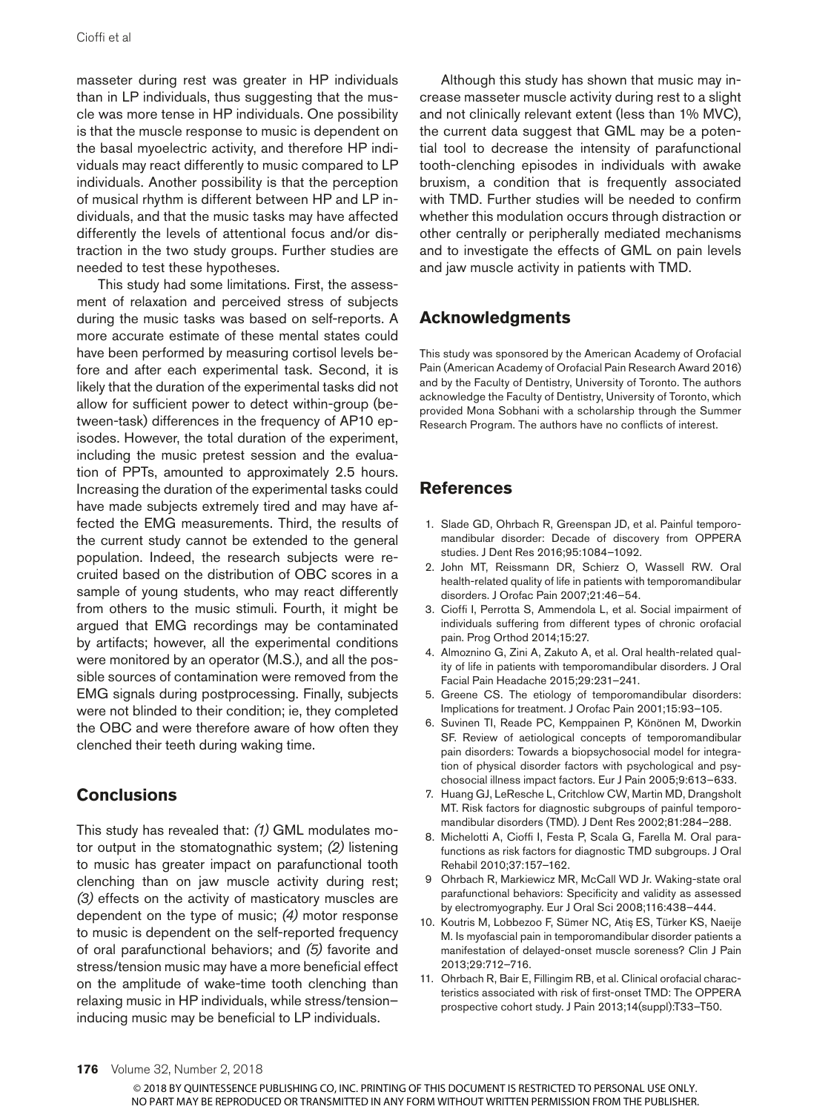masseter during rest was greater in HP individuals than in LP individuals, thus suggesting that the muscle was more tense in HP individuals. One possibility is that the muscle response to music is dependent on the basal myoelectric activity, and therefore HP individuals may react differently to music compared to LP individuals. Another possibility is that the perception of musical rhythm is different between HP and LP individuals, and that the music tasks may have affected differently the levels of attentional focus and/or distraction in the two study groups. Further studies are needed to test these hypotheses.

This study had some limitations. First, the assessment of relaxation and perceived stress of subjects during the music tasks was based on self-reports. A more accurate estimate of these mental states could have been performed by measuring cortisol levels before and after each experimental task. Second, it is likely that the duration of the experimental tasks did not allow for sufficient power to detect within-group (between-task) differences in the frequency of AP10 episodes. However, the total duration of the experiment, including the music pretest session and the evaluation of PPTs, amounted to approximately 2.5 hours. Increasing the duration of the experimental tasks could have made subjects extremely tired and may have affected the EMG measurements. Third, the results of the current study cannot be extended to the general population. Indeed, the research subjects were recruited based on the distribution of OBC scores in a sample of young students, who may react differently from others to the music stimuli. Fourth, it might be argued that EMG recordings may be contaminated by artifacts; however, all the experimental conditions were monitored by an operator (M.S.), and all the possible sources of contamination were removed from the EMG signals during postprocessing. Finally, subjects were not blinded to their condition; ie, they completed the OBC and were therefore aware of how often they clenched their teeth during waking time.

## **Conclusions**

This study has revealed that: *(1)* GML modulates motor output in the stomatognathic system; *(2)* listening to music has greater impact on parafunctional tooth clenching than on jaw muscle activity during rest; *(3)* effects on the activity of masticatory muscles are dependent on the type of music; *(4)* motor response to music is dependent on the self-reported frequency of oral parafunctional behaviors; and *(5)* favorite and stress/tension music may have a more beneficial effect on the amplitude of wake-time tooth clenching than relaxing music in HP individuals, while stress/tension– inducing music may be beneficial to LP individuals.

Although this study has shown that music may increase masseter muscle activity during rest to a slight and not clinically relevant extent (less than 1% MVC), the current data suggest that GML may be a potential tool to decrease the intensity of parafunctional tooth-clenching episodes in individuals with awake bruxism, a condition that is frequently associated with TMD. Further studies will be needed to confirm whether this modulation occurs through distraction or other centrally or peripherally mediated mechanisms and to investigate the effects of GML on pain levels and jaw muscle activity in patients with TMD.

# **Acknowledgments**

This study was sponsored by the American Academy of Orofacial Pain (American Academy of Orofacial Pain Research Award 2016) and by the Faculty of Dentistry, University of Toronto. The authors acknowledge the Faculty of Dentistry, University of Toronto, which provided Mona Sobhani with a scholarship through the Summer Research Program. The authors have no conflicts of interest.

## **References**

- 1. Slade GD, Ohrbach R, Greenspan JD, et al. Painful temporomandibular disorder: Decade of discovery from OPPERA studies. J Dent Res 2016;95:1084–1092.
- 2. John MT, Reissmann DR, Schierz O, Wassell RW. Oral health-related quality of life in patients with temporomandibular disorders. J Orofac Pain 2007;21:46–54.
- 3. Cioffi I, Perrotta S, Ammendola L, et al. Social impairment of individuals suffering from different types of chronic orofacial pain. Prog Orthod 2014;15:27.
- 4. Almoznino G, Zini A, Zakuto A, et al. Oral health-related quality of life in patients with temporomandibular disorders. J Oral Facial Pain Headache 2015;29:231–241.
- 5. Greene CS. The etiology of temporomandibular disorders: Implications for treatment. J Orofac Pain 2001;15:93–105.
- 6. Suvinen TI, Reade PC, Kemppainen P, Könönen M, Dworkin SF. Review of aetiological concepts of temporomandibular pain disorders: Towards a biopsychosocial model for integration of physical disorder factors with psychological and psychosocial illness impact factors. Eur J Pain 2005;9:613–633.
- 7. Huang GJ, LeResche L, Critchlow CW, Martin MD, Drangsholt MT. Risk factors for diagnostic subgroups of painful temporomandibular disorders (TMD). J Dent Res 2002;81:284–288.
- 8. Michelotti A, Cioffi I, Festa P, Scala G, Farella M. Oral parafunctions as risk factors for diagnostic TMD subgroups. J Oral Rehabil 2010;37:157–162.
- 9 Ohrbach R, Markiewicz MR, McCall WD Jr. Waking-state oral parafunctional behaviors: Specificity and validity as assessed by electromyography. Eur J Oral Sci 2008;116:438–444.
- 10. Koutris M, Lobbezoo F, Sümer NC, Atis¸ ES, Türker KS, Naeije M. Is myofascial pain in temporomandibular disorder patients a manifestation of delayed-onset muscle soreness? Clin J Pain 2013;29:712–716.
- 11. Ohrbach R, Bair E, Fillingim RB, et al. Clinical orofacial characteristics associated with risk of first-onset TMD: The OPPERA prospective cohort study. J Pain 2013;14(suppl):T33–T50.

**176** Volume 32, Number 2, 2018